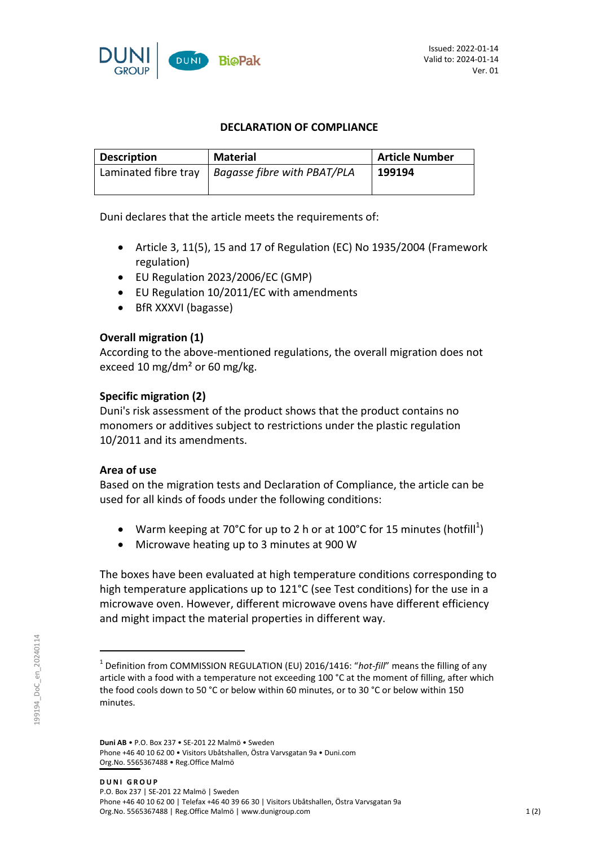

### **DECLARATION OF COMPLIANCE**

| <b>Description</b>   | <b>Material</b>                    | <b>Article Number</b> |
|----------------------|------------------------------------|-----------------------|
| Laminated fibre tray | <b>Bagasse fibre with PBAT/PLA</b> | 199194                |
|                      |                                    |                       |

Duni declares that the article meets the requirements of:

- Article 3, 11(5), 15 and 17 of Regulation (EC) No 1935/2004 (Framework regulation)
- EU Regulation 2023/2006/EC (GMP)
- EU Regulation 10/2011/EC with amendments
- BfR XXXVI (bagasse)

# **Overall migration (1)**

According to the above-mentioned regulations, the overall migration does not exceed 10 mg/dm² or 60 mg/kg.

# **Specific migration (2)**

Duni's risk assessment of the product shows that the product contains no monomers or additives subject to restrictions under the plastic regulation 10/2011 and its amendments.

# **Area of use**

Based on the migration tests and Declaration of Compliance, the article can be used for all kinds of foods under the following conditions:

- Warm keeping at 70°C for up to 2 h or at 100°C for 15 minutes (hotfill<sup>1</sup>)
- Microwave heating up to 3 minutes at 900 W

The boxes have been evaluated at high temperature conditions corresponding to high temperature applications up to 121°C (see Test conditions) for the use in a microwave oven. However, different microwave ovens have different efficiency and might impact the material properties in different way.

<sup>&</sup>lt;sup>1</sup> Definition from COMMISSION REGULATION (EU) 2016/1416: "hot-fill" means the filling of any article with a food with a temperature not exceeding 100 °C at the moment of filling, after which the food cools down to 50 °C or below within 60 minutes, or to 30 °C or below within 150 minutes.

**Duni AB** • P.O. Box 237 • SE-201 22 Malmö • Sweden Phone +46 40 10 62 00 • Visitors Ubåtshallen, Östra Varvsgatan 9a • Duni.com Org.No. 5565367488 • Reg.Office Malmö